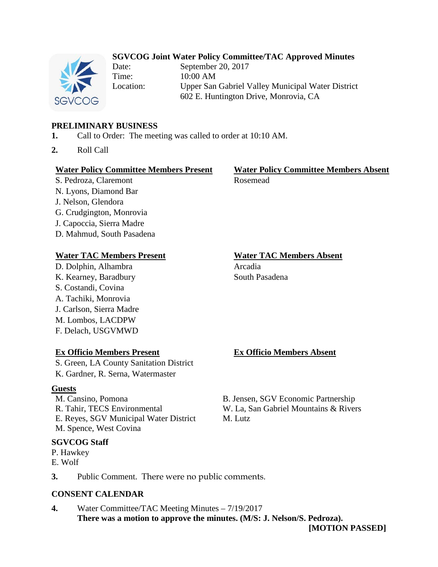## **SGVCOG Joint Water Policy Committee/TAC Approved Minutes**



Date: September 20, 2017 Time: 10:00 AM Location: Upper San Gabriel Valley Municipal Water District 602 E. Huntington Drive, Monrovia, CA

## **PRELIMINARY BUSINESS**

- **1.** Call to Order: The meeting was called to order at 10:10 AM.
- **2.** Roll Call

### **Water Policy Committee Members Present Water Policy Committee Members Absent**

S. Pedroza, Claremont Rosemead N. Lyons, Diamond Bar J. Nelson, Glendora G. Crudgington, Monrovia J. Capoccia, Sierra Madre D. Mahmud, South Pasadena

## **Water TAC Members Present Water TAC Members Absent**

D. Dolphin, Alhambra Arcadia K. Kearney, Baradbury South Pasadena S. Costandi, Covina A. Tachiki, Monrovia J. Carlson, Sierra Madre M. Lombos, LACDPW F. Delach, USGVMWD

## **Ex Officio Members Present Ex Officio Members Absent**

S. Green, LA County Sanitation District K. Gardner, R. Serna, Watermaster

## **Guests**

M. Cansino, Pomona B. Jensen, SGV Economic Partnership E. Reyes, SGV Municipal Water District M. Lutz M. Spence, West Covina

## **SGVCOG Staff**

P. Hawkey E. Wolf

R. Tahir, TECS Environmental W. La, San Gabriel Mountains & Rivers

**3.** Public Comment. There were no public comments.

## **CONSENT CALENDAR**

**4.** Water Committee/TAC Meeting Minutes – 7/19/2017 **There was a motion to approve the minutes. (M/S: J. Nelson/S. Pedroza).**

**[MOTION PASSED]**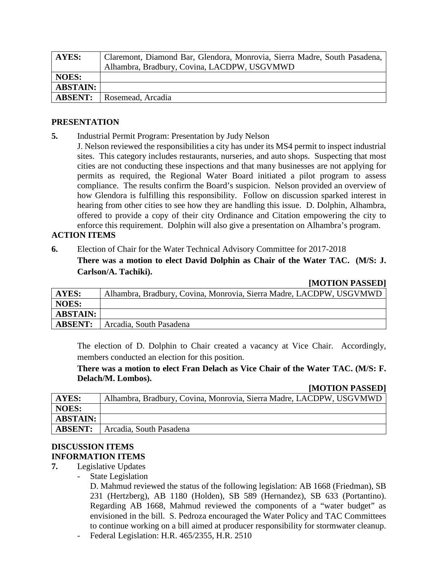| AYES:           | Claremont, Diamond Bar, Glendora, Monrovia, Sierra Madre, South Pasadena, |
|-----------------|---------------------------------------------------------------------------|
|                 | Alhambra, Bradbury, Covina, LACDPW, USGVMWD                               |
| <b>NOES:</b>    |                                                                           |
| <b>ABSTAIN:</b> |                                                                           |
| <b>ABSENT:</b>  | Rosemead, Arcadia                                                         |

### **PRESENTATION**

- **5.** Industrial Permit Program: Presentation by Judy Nelson
- J. Nelson reviewed the responsibilities a city has under its MS4 permit to inspect industrial sites. This category includes restaurants, nurseries, and auto shops. Suspecting that most cities are not conducting these inspections and that many businesses are not applying for permits as required, the Regional Water Board initiated a pilot program to assess compliance. The results confirm the Board's suspicion. Nelson provided an overview of how Glendora is fulfilling this responsibility. Follow on discussion sparked interest in hearing from other cities to see how they are handling this issue. D. Dolphin, Alhambra, offered to provide a copy of their city Ordinance and Citation empowering the city to enforce this requirement. Dolphin will also give a presentation on Alhambra's program.

## **ACTION ITEMS**

**6.** Election of Chair for the Water Technical Advisory Committee for 2017-2018

**There was a motion to elect David Dolphin as Chair of the Water TAC. (M/S: J. Carlson/A. Tachiki).**

|                 | $ MULLU $ LADDL $ U $                                               |
|-----------------|---------------------------------------------------------------------|
| AYES:           | Alhambra, Bradbury, Covina, Monrovia, Sierra Madre, LACDPW, USGVMWD |
| <b>NOES:</b>    |                                                                     |
| <b>ABSTAIN:</b> |                                                                     |
| <b>ABSENT:</b>  | Arcadia, South Pasadena                                             |

The election of D. Dolphin to Chair created a vacancy at Vice Chair. Accordingly, members conducted an election for this position.

**There was a motion to elect Fran Delach as Vice Chair of the Water TAC. (M/S: F. Delach/M. Lombos).**

## **[MOTION PASSED]**

**[MOTION PASSED]**

| AYES:           | Alhambra, Bradbury, Covina, Monrovia, Sierra Madre, LACDPW, USGVMWD |
|-----------------|---------------------------------------------------------------------|
| <b>NOES:</b>    |                                                                     |
| <b>ABSTAIN:</b> |                                                                     |
| <b>ABSENT:</b>  | Arcadia, South Pasadena                                             |

## **DISCUSSION ITEMS INFORMATION ITEMS**

- **7.** Legislative Updates
	- State Legislation

D. Mahmud reviewed the status of the following legislation: AB 1668 (Friedman), SB 231 (Hertzberg), AB 1180 (Holden), SB 589 (Hernandez), SB 633 (Portantino). Regarding AB 1668, Mahmud reviewed the components of a "water budget" as envisioned in the bill. S. Pedroza encouraged the Water Policy and TAC Committees to continue working on a bill aimed at producer responsibility for stormwater cleanup.

- Federal Legislation: H.R. 465/2355, H.R. 2510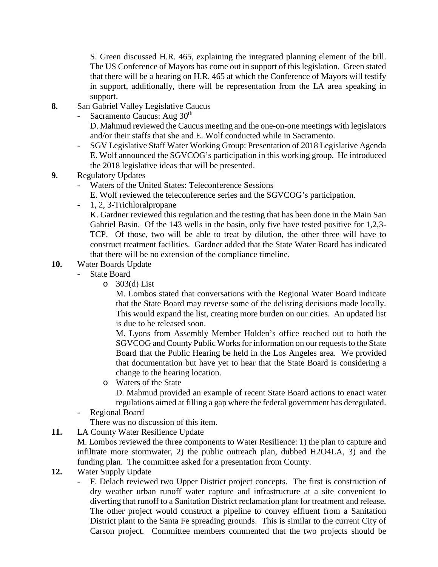S. Green discussed H.R. 465, explaining the integrated planning element of the bill. The US Conference of Mayors has come out in support of this legislation. Green stated that there will be a hearing on H.R. 465 at which the Conference of Mayors will testify in support, additionally, there will be representation from the LA area speaking in support.

- **8.** San Gabriel Valley Legislative Caucus
	- Sacramento Caucus: Aug  $30<sup>th</sup>$

D. Mahmud reviewed the Caucus meeting and the one-on-one meetings with legislators and/or their staffs that she and E. Wolf conducted while in Sacramento.

- SGV Legislative Staff Water Working Group: Presentation of 2018 Legislative Agenda E. Wolf announced the SGVCOG's participation in this working group. He introduced the 2018 legislative ideas that will be presented.
- **9.** Regulatory Updates
	- Waters of the United States: Teleconference Sessions
		- E. Wolf reviewed the teleconference series and the SGVCOG's participation.
	- 1, 2, 3-Trichloralpropane

K. Gardner reviewed this regulation and the testing that has been done in the Main San Gabriel Basin. Of the 143 wells in the basin, only five have tested positive for 1,2,3- TCP. Of those, two will be able to treat by dilution, the other three will have to construct treatment facilities. Gardner added that the State Water Board has indicated that there will be no extension of the compliance timeline.

## **10.** Water Boards Update

- State Board
	- $\circ$  303(d) List

M. Lombos stated that conversations with the Regional Water Board indicate that the State Board may reverse some of the delisting decisions made locally. This would expand the list, creating more burden on our cities. An updated list is due to be released soon.

M. Lyons from Assembly Member Holden's office reached out to both the SGVCOG and County Public Works for information on our requests to the State Board that the Public Hearing be held in the Los Angeles area. We provided that documentation but have yet to hear that the State Board is considering a change to the hearing location.

o Waters of the State

D. Mahmud provided an example of recent State Board actions to enact water regulations aimed at filling a gap where the federal government has deregulated.

- Regional Board

There was no discussion of this item.

**11.** LA County Water Resilience Update

M. Lombos reviewed the three components to Water Resilience: 1) the plan to capture and infiltrate more stormwater, 2) the public outreach plan, dubbed H2O4LA, 3) and the funding plan. The committee asked for a presentation from County.

- **12.** Water Supply Update
	- F. Delach reviewed two Upper District project concepts. The first is construction of dry weather urban runoff water capture and infrastructure at a site convenient to diverting that runoff to a Sanitation District reclamation plant for treatment and release. The other project would construct a pipeline to convey effluent from a Sanitation District plant to the Santa Fe spreading grounds. This is similar to the current City of Carson project. Committee members commented that the two projects should be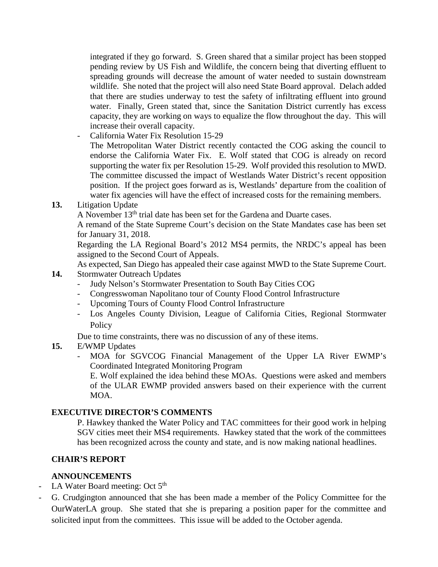integrated if they go forward. S. Green shared that a similar project has been stopped pending review by US Fish and Wildlife, the concern being that diverting effluent to spreading grounds will decrease the amount of water needed to sustain downstream wildlife. She noted that the project will also need State Board approval. Delach added that there are studies underway to test the safety of infiltrating effluent into ground water. Finally, Green stated that, since the Sanitation District currently has excess capacity, they are working on ways to equalize the flow throughout the day. This will increase their overall capacity.

- California Water Fix Resolution 15-29

The Metropolitan Water District recently contacted the COG asking the council to endorse the California Water Fix. E. Wolf stated that COG is already on record supporting the water fix per Resolution 15-29. Wolf provided this resolution to MWD. The committee discussed the impact of Westlands Water District's recent opposition position. If the project goes forward as is, Westlands' departure from the coalition of water fix agencies will have the effect of increased costs for the remaining members.

**13.** Litigation Update

A November  $13<sup>th</sup>$  trial date has been set for the Gardena and Duarte cases.

A remand of the State Supreme Court's decision on the State Mandates case has been set for January 31, 2018.

Regarding the LA Regional Board's 2012 MS4 permits, the NRDC's appeal has been assigned to the Second Court of Appeals.

As expected, San Diego has appealed their case against MWD to the State Supreme Court.

- **14.** Stormwater Outreach Updates
	- Judy Nelson's Stormwater Presentation to South Bay Cities COG
	- Congresswoman Napolitano tour of County Flood Control Infrastructure
	- Upcoming Tours of County Flood Control Infrastructure
	- Los Angeles County Division, League of California Cities, Regional Stormwater **Policy**

Due to time constraints, there was no discussion of any of these items.

- **15.** E/WMP Updates
	- MOA for SGVCOG Financial Management of the Upper LA River EWMP's Coordinated Integrated Monitoring Program

E. Wolf explained the idea behind these MOAs. Questions were asked and members of the ULAR EWMP provided answers based on their experience with the current MOA.

## **EXECUTIVE DIRECTOR'S COMMENTS**

P. Hawkey thanked the Water Policy and TAC committees for their good work in helping SGV cities meet their MS4 requirements. Hawkey stated that the work of the committees has been recognized across the county and state, and is now making national headlines.

## **CHAIR'S REPORT**

## **ANNOUNCEMENTS**

- LA Water Board meeting: Oct  $5<sup>th</sup>$
- G. Crudgington announced that she has been made a member of the Policy Committee for the OurWaterLA group. She stated that she is preparing a position paper for the committee and solicited input from the committees. This issue will be added to the October agenda.